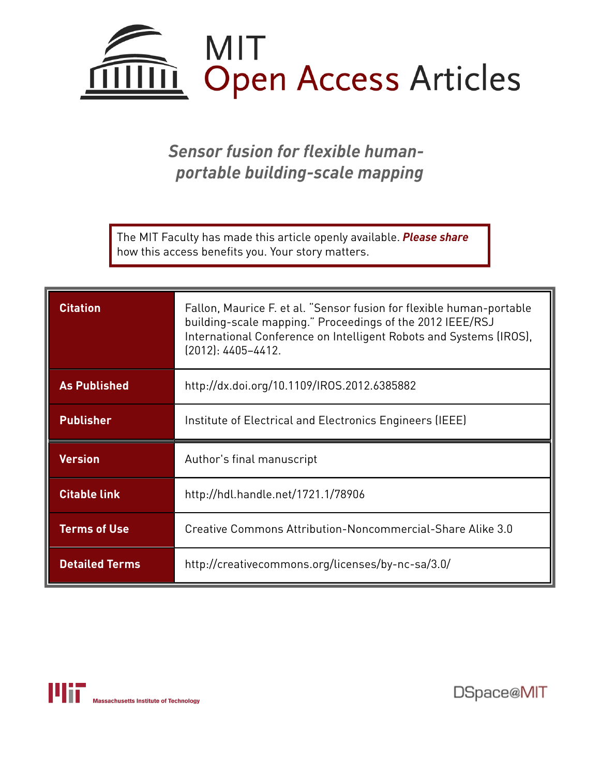

*Sensor fusion for flexible humanportable building-scale mapping*

The MIT Faculty has made this article openly available. *[Please](https://libraries.mit.edu/forms/dspace-oa-articles.html) share* how this access benefits you. Your story matters.

| <b>Citation</b>       | Fallon, Maurice F. et al. "Sensor fusion for flexible human-portable<br>building-scale mapping." Proceedings of the 2012 IEEE/RSJ<br>International Conference on Intelligent Robots and Systems (IROS),<br>$(2012): 4405 - 4412.$ |
|-----------------------|-----------------------------------------------------------------------------------------------------------------------------------------------------------------------------------------------------------------------------------|
| <b>As Published</b>   | http://dx.doi.org/10.1109/IROS.2012.6385882                                                                                                                                                                                       |
| <b>Publisher</b>      | Institute of Electrical and Electronics Engineers (IEEE)                                                                                                                                                                          |
| <b>Version</b>        | Author's final manuscript                                                                                                                                                                                                         |
| <b>Citable link</b>   | http://hdl.handle.net/1721.1/78906                                                                                                                                                                                                |
| <b>Terms of Use</b>   | Creative Commons Attribution-Noncommercial-Share Alike 3.0                                                                                                                                                                        |
| <b>Detailed Terms</b> | http://creativecommons.org/licenses/by-nc-sa/3.0/                                                                                                                                                                                 |



DSpace@MIT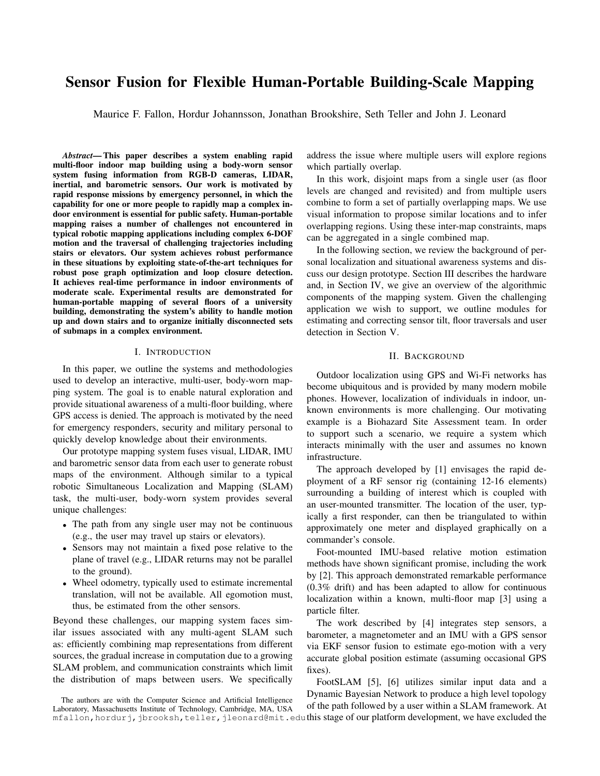# Sensor Fusion for Flexible Human-Portable Building-Scale Mapping

Maurice F. Fallon, Hordur Johannsson, Jonathan Brookshire, Seth Teller and John J. Leonard

*Abstract*— This paper describes a system enabling rapid multi-floor indoor map building using a body-worn sensor system fusing information from RGB-D cameras, LIDAR, inertial, and barometric sensors. Our work is motivated by rapid response missions by emergency personnel, in which the capability for one or more people to rapidly map a complex indoor environment is essential for public safety. Human-portable mapping raises a number of challenges not encountered in typical robotic mapping applications including complex 6-DOF motion and the traversal of challenging trajectories including stairs or elevators. Our system achieves robust performance in these situations by exploiting state-of-the-art techniques for robust pose graph optimization and loop closure detection. It achieves real-time performance in indoor environments of moderate scale. Experimental results are demonstrated for human-portable mapping of several floors of a university building, demonstrating the system's ability to handle motion up and down stairs and to organize initially disconnected sets of submaps in a complex environment.

#### I. INTRODUCTION

In this paper, we outline the systems and methodologies used to develop an interactive, multi-user, body-worn mapping system. The goal is to enable natural exploration and provide situational awareness of a multi-floor building, where GPS access is denied. The approach is motivated by the need for emergency responders, security and military personal to quickly develop knowledge about their environments.

Our prototype mapping system fuses visual, LIDAR, IMU and barometric sensor data from each user to generate robust maps of the environment. Although similar to a typical robotic Simultaneous Localization and Mapping (SLAM) task, the multi-user, body-worn system provides several unique challenges:

- The path from any single user may not be continuous (e.g., the user may travel up stairs or elevators).
- Sensors may not maintain a fixed pose relative to the plane of travel (e.g., LIDAR returns may not be parallel to the ground).
- Wheel odometry, typically used to estimate incremental translation, will not be available. All egomotion must, thus, be estimated from the other sensors.

Beyond these challenges, our mapping system faces similar issues associated with any multi-agent SLAM such as: efficiently combining map representations from different sources, the gradual increase in computation due to a growing SLAM problem, and communication constraints which limit the distribution of maps between users. We specifically

The authors are with the Computer Science and Artificial Intelligence Laboratory, Massachusetts Institute of Technology, Cambridge, MA, USA address the issue where multiple users will explore regions which partially overlap.

In this work, disjoint maps from a single user (as floor levels are changed and revisited) and from multiple users combine to form a set of partially overlapping maps. We use visual information to propose similar locations and to infer overlapping regions. Using these inter-map constraints, maps can be aggregated in a single combined map.

In the following section, we review the background of personal localization and situational awareness systems and discuss our design prototype. Section III describes the hardware and, in Section IV, we give an overview of the algorithmic components of the mapping system. Given the challenging application we wish to support, we outline modules for estimating and correcting sensor tilt, floor traversals and user detection in Section V.

#### II. BACKGROUND

Outdoor localization using GPS and Wi-Fi networks has become ubiquitous and is provided by many modern mobile phones. However, localization of individuals in indoor, unknown environments is more challenging. Our motivating example is a Biohazard Site Assessment team. In order to support such a scenario, we require a system which interacts minimally with the user and assumes no known infrastructure.

The approach developed by [1] envisages the rapid deployment of a RF sensor rig (containing 12-16 elements) surrounding a building of interest which is coupled with an user-mounted transmitter. The location of the user, typically a first responder, can then be triangulated to within approximately one meter and displayed graphically on a commander's console.

Foot-mounted IMU-based relative motion estimation methods have shown significant promise, including the work by [2]. This approach demonstrated remarkable performance (0.3% drift) and has been adapted to allow for continuous localization within a known, multi-floor map [3] using a particle filter.

The work described by [4] integrates step sensors, a barometer, a magnetometer and an IMU with a GPS sensor via EKF sensor fusion to estimate ego-motion with a very accurate global position estimate (assuming occasional GPS fixes).

<code>mfallon,hordurj,jbrooksh,teller,jleonard@mit.edu</code> this stage of our platform development, we have excluded the FootSLAM [5], [6] utilizes similar input data and a Dynamic Bayesian Network to produce a high level topology of the path followed by a user within a SLAM framework. At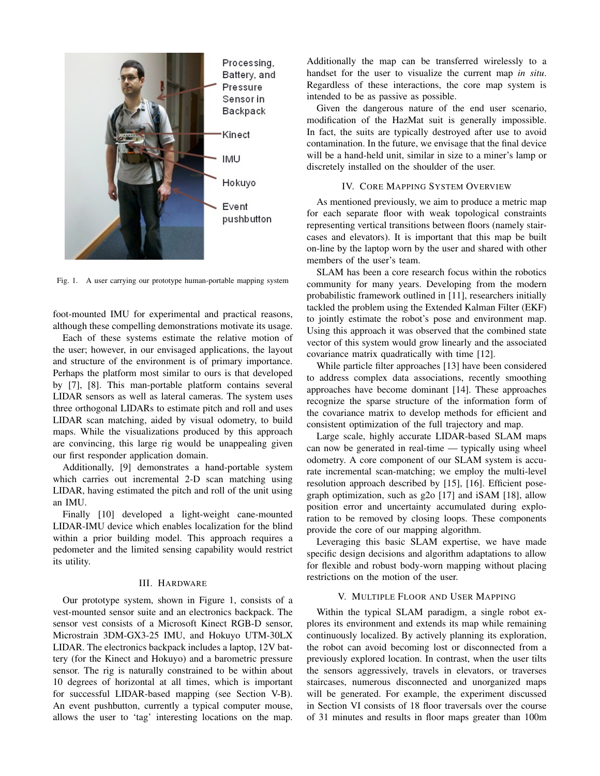

Fig. 1. A user carrying our prototype human-portable mapping system

foot-mounted IMU for experimental and practical reasons, although these compelling demonstrations motivate its usage.

Each of these systems estimate the relative motion of the user; however, in our envisaged applications, the layout and structure of the environment is of primary importance. Perhaps the platform most similar to ours is that developed by [7], [8]. This man-portable platform contains several LIDAR sensors as well as lateral cameras. The system uses three orthogonal LIDARs to estimate pitch and roll and uses LIDAR scan matching, aided by visual odometry, to build maps. While the visualizations produced by this approach are convincing, this large rig would be unappealing given our first responder application domain.

Additionally, [9] demonstrates a hand-portable system which carries out incremental 2-D scan matching using LIDAR, having estimated the pitch and roll of the unit using an IMU.

Finally [10] developed a light-weight cane-mounted LIDAR-IMU device which enables localization for the blind within a prior building model. This approach requires a pedometer and the limited sensing capability would restrict its utility.

# III. HARDWARE

Our prototype system, shown in Figure 1, consists of a vest-mounted sensor suite and an electronics backpack. The sensor vest consists of a Microsoft Kinect RGB-D sensor, Microstrain 3DM-GX3-25 IMU, and Hokuyo UTM-30LX LIDAR. The electronics backpack includes a laptop, 12V battery (for the Kinect and Hokuyo) and a barometric pressure sensor. The rig is naturally constrained to be within about 10 degrees of horizontal at all times, which is important for successful LIDAR-based mapping (see Section V-B). An event pushbutton, currently a typical computer mouse, allows the user to 'tag' interesting locations on the map.

Additionally the map can be transferred wirelessly to a handset for the user to visualize the current map *in situ*. Regardless of these interactions, the core map system is intended to be as passive as possible.

Given the dangerous nature of the end user scenario, modification of the HazMat suit is generally impossible. In fact, the suits are typically destroyed after use to avoid contamination. In the future, we envisage that the final device will be a hand-held unit, similar in size to a miner's lamp or discretely installed on the shoulder of the user.

# IV. CORE MAPPING SYSTEM OVERVIEW

As mentioned previously, we aim to produce a metric map for each separate floor with weak topological constraints representing vertical transitions between floors (namely staircases and elevators). It is important that this map be built on-line by the laptop worn by the user and shared with other members of the user's team.

SLAM has been a core research focus within the robotics community for many years. Developing from the modern probabilistic framework outlined in [11], researchers initially tackled the problem using the Extended Kalman Filter (EKF) to jointly estimate the robot's pose and environment map. Using this approach it was observed that the combined state vector of this system would grow linearly and the associated covariance matrix quadratically with time [12].

While particle filter approaches [13] have been considered to address complex data associations, recently smoothing approaches have become dominant [14]. These approaches recognize the sparse structure of the information form of the covariance matrix to develop methods for efficient and consistent optimization of the full trajectory and map.

Large scale, highly accurate LIDAR-based SLAM maps can now be generated in real-time — typically using wheel odometry. A core component of our SLAM system is accurate incremental scan-matching; we employ the multi-level resolution approach described by [15], [16]. Efficient posegraph optimization, such as g2o [17] and iSAM [18], allow position error and uncertainty accumulated during exploration to be removed by closing loops. These components provide the core of our mapping algorithm.

Leveraging this basic SLAM expertise, we have made specific design decisions and algorithm adaptations to allow for flexible and robust body-worn mapping without placing restrictions on the motion of the user.

#### V. MULTIPLE FLOOR AND USER MAPPING

Within the typical SLAM paradigm, a single robot explores its environment and extends its map while remaining continuously localized. By actively planning its exploration, the robot can avoid becoming lost or disconnected from a previously explored location. In contrast, when the user tilts the sensors aggressively, travels in elevators, or traverses staircases, numerous disconnected and unorganized maps will be generated. For example, the experiment discussed in Section VI consists of 18 floor traversals over the course of 31 minutes and results in floor maps greater than 100m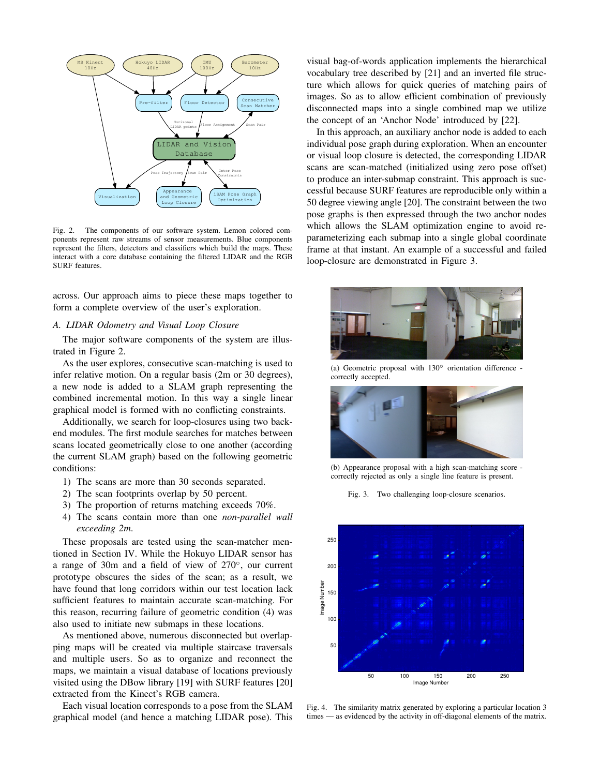

Fig. 2. The components of our software system. Lemon colored components represent raw streams of sensor measurements. Blue components represent the filters, detectors and classifiers which build the maps. These interact with a core database containing the filtered LIDAR and the RGB SURF features.

across. Our approach aims to piece these maps together to form a complete overview of the user's exploration.

#### *A. LIDAR Odometry and Visual Loop Closure*

The major software components of the system are illustrated in Figure 2.

As the user explores, consecutive scan-matching is used to infer relative motion. On a regular basis (2m or 30 degrees), a new node is added to a SLAM graph representing the combined incremental motion. In this way a single linear graphical model is formed with no conflicting constraints.

Additionally, we search for loop-closures using two backend modules. The first module searches for matches between scans located geometrically close to one another (according the current SLAM graph) based on the following geometric conditions:

- 1) The scans are more than 30 seconds separated.
- 2) The scan footprints overlap by 50 percent.
- 3) The proportion of returns matching exceeds 70%.
- 4) The scans contain more than one *non-parallel wall exceeding 2m*.

These proposals are tested using the scan-matcher mentioned in Section IV. While the Hokuyo LIDAR sensor has a range of 30m and a field of view of 270◦ , our current prototype obscures the sides of the scan; as a result, we have found that long corridors within our test location lack sufficient features to maintain accurate scan-matching. For this reason, recurring failure of geometric condition (4) was also used to initiate new submaps in these locations.

As mentioned above, numerous disconnected but overlapping maps will be created via multiple staircase traversals and multiple users. So as to organize and reconnect the maps, we maintain a visual database of locations previously visited using the DBow library [19] with SURF features [20] extracted from the Kinect's RGB camera.

Each visual location corresponds to a pose from the SLAM graphical model (and hence a matching LIDAR pose). This visual bag-of-words application implements the hierarchical vocabulary tree described by [21] and an inverted file structure which allows for quick queries of matching pairs of images. So as to allow efficient combination of previously disconnected maps into a single combined map we utilize the concept of an 'Anchor Node' introduced by [22].

In this approach, an auxiliary anchor node is added to each individual pose graph during exploration. When an encounter or visual loop closure is detected, the corresponding LIDAR scans are scan-matched (initialized using zero pose offset) to produce an inter-submap constraint. This approach is successful because SURF features are reproducible only within a 50 degree viewing angle [20]. The constraint between the two pose graphs is then expressed through the two anchor nodes which allows the SLAM optimization engine to avoid reparameterizing each submap into a single global coordinate frame at that instant. An example of a successful and failed loop-closure are demonstrated in Figure 3.



(a) Geometric proposal with  $130°$  orientation difference correctly accepted.



(b) Appearance proposal with a high scan-matching score correctly rejected as only a single line feature is present.

Fig. 3. Two challenging loop-closure scenarios.



Fig. 4. The similarity matrix generated by exploring a particular location 3 times — as evidenced by the activity in off-diagonal elements of the matrix.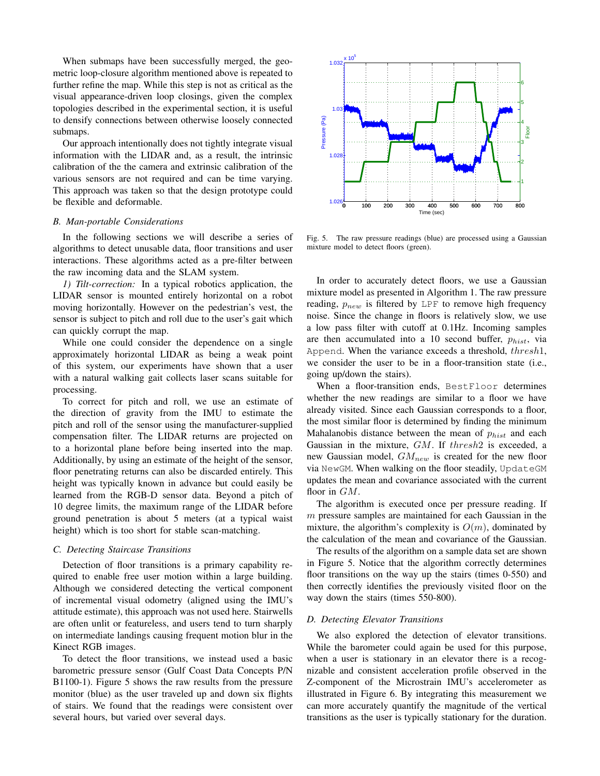When submaps have been successfully merged, the geometric loop-closure algorithm mentioned above is repeated to further refine the map. While this step is not as critical as the visual appearance-driven loop closings, given the complex topologies described in the experimental section, it is useful to densify connections between otherwise loosely connected submaps.

Our approach intentionally does not tightly integrate visual information with the LIDAR and, as a result, the intrinsic calibration of the the camera and extrinsic calibration of the various sensors are not required and can be time varying. This approach was taken so that the design prototype could be flexible and deformable.

#### *B. Man-portable Considerations*

In the following sections we will describe a series of algorithms to detect unusable data, floor transitions and user interactions. These algorithms acted as a pre-filter between the raw incoming data and the SLAM system.

*1) Tilt-correction:* In a typical robotics application, the LIDAR sensor is mounted entirely horizontal on a robot moving horizontally. However on the pedestrian's vest, the sensor is subject to pitch and roll due to the user's gait which can quickly corrupt the map.

While one could consider the dependence on a single approximately horizontal LIDAR as being a weak point of this system, our experiments have shown that a user with a natural walking gait collects laser scans suitable for processing.

To correct for pitch and roll, we use an estimate of the direction of gravity from the IMU to estimate the pitch and roll of the sensor using the manufacturer-supplied compensation filter. The LIDAR returns are projected on to a horizontal plane before being inserted into the map. Additionally, by using an estimate of the height of the sensor, floor penetrating returns can also be discarded entirely. This height was typically known in advance but could easily be learned from the RGB-D sensor data. Beyond a pitch of 10 degree limits, the maximum range of the LIDAR before ground penetration is about 5 meters (at a typical waist height) which is too short for stable scan-matching.

# *C. Detecting Staircase Transitions*

Detection of floor transitions is a primary capability required to enable free user motion within a large building. Although we considered detecting the vertical component of incremental visual odometry (aligned using the IMU's attitude estimate), this approach was not used here. Stairwells are often unlit or featureless, and users tend to turn sharply on intermediate landings causing frequent motion blur in the Kinect RGB images.

To detect the floor transitions, we instead used a basic barometric pressure sensor (Gulf Coast Data Concepts P/N B1100-1). Figure 5 shows the raw results from the pressure monitor (blue) as the user traveled up and down six flights of stairs. We found that the readings were consistent over several hours, but varied over several days.



Fig. 5. The raw pressure readings (blue) are processed using a Gaussian mixture model to detect floors (green).

In order to accurately detect floors, we use a Gaussian mixture model as presented in Algorithm 1. The raw pressure reading,  $p_{new}$  is filtered by LPF to remove high frequency noise. Since the change in floors is relatively slow, we use a low pass filter with cutoff at 0.1Hz. Incoming samples are then accumulated into a 10 second buffer,  $p_{hist}$ , via Append. When the variance exceeds a threshold, thresh1, we consider the user to be in a floor-transition state (i.e., going up/down the stairs).

When a floor-transition ends, BestFloor determines whether the new readings are similar to a floor we have already visited. Since each Gaussian corresponds to a floor, the most similar floor is determined by finding the minimum Mahalanobis distance between the mean of  $p_{hist}$  and each Gaussian in the mixture, GM. If thresh2 is exceeded, a new Gaussian model,  $GM_{new}$  is created for the new floor via NewGM. When walking on the floor steadily, UpdateGM updates the mean and covariance associated with the current floor in  $GM$ .

The algorithm is executed once per pressure reading. If  $m$  pressure samples are maintained for each Gaussian in the mixture, the algorithm's complexity is  $O(m)$ , dominated by the calculation of the mean and covariance of the Gaussian.

The results of the algorithm on a sample data set are shown in Figure 5. Notice that the algorithm correctly determines floor transitions on the way up the stairs (times 0-550) and then correctly identifies the previously visited floor on the way down the stairs (times 550-800).

#### *D. Detecting Elevator Transitions*

We also explored the detection of elevator transitions. While the barometer could again be used for this purpose, when a user is stationary in an elevator there is a recognizable and consistent acceleration profile observed in the Z-component of the Microstrain IMU's accelerometer as illustrated in Figure 6. By integrating this measurement we can more accurately quantify the magnitude of the vertical transitions as the user is typically stationary for the duration.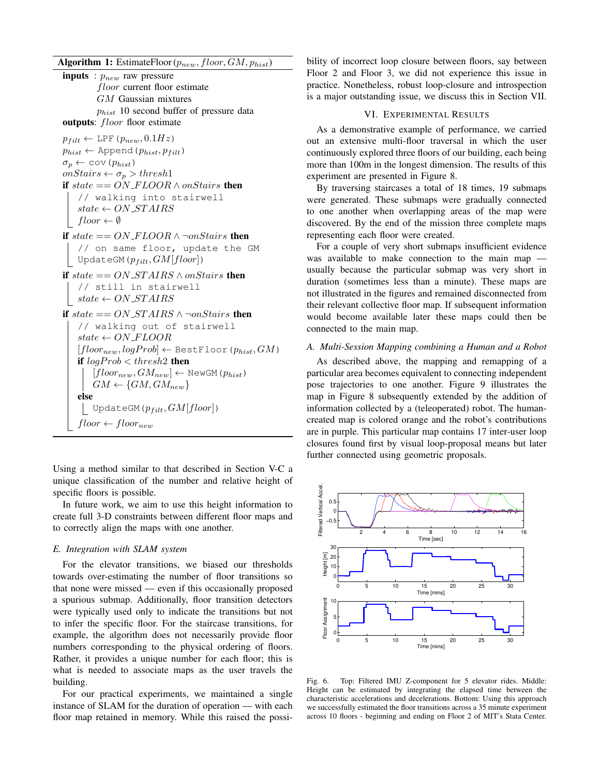Algorithm 1: EstimateFloor ( $p_{new}$ , floor,  $GM$ ,  $p_{hist}$ )

**inputs** :  $p_{new}$  raw pressure floor current floor estimate GM Gaussian mixtures  $p_{hist}$  10 second buffer of pressure data outputs: *floor* floor estimate  $p_{filt} \leftarrow \text{LPF}(p_{new}, 0.1Hz)$  $p_{hist} \leftarrow$  Append  $(p_{hist}, p_{filt})$  $\sigma_p \leftarrow \text{cov}(p_{hist})$ onStairs  $\leftarrow \sigma_p > thresh1$ if  $state == ON\_FLOOR \wedge onStairs$  then // walking into stairwell  $state \leftarrow ON\_STAIRS$  $floor \leftarrow \emptyset$ if  $state == ON\_FLOOR \land \neg onStairs$  then // on same floor, update the GM UpdateGM( $p_{filt}, GM[floor]$ ) if state  $== ON\_STAIRS \wedge onStairs$  then // still in stairwell  $\vert$  state  $\leftarrow ON\_STAIRS$ if  $state == ON\_STAIRS \land \neg onStairs$  then // walking out of stairwell  $state \leftarrow ON\_FLOOR$  $[floor_{new}, logProb] \leftarrow BestFloor(p_{hist}, GM)$ if  $logProb < threshold$  then  $[floor_{new}, GM_{new}] \leftarrow \texttt{NewGM}(p_{hist})$  $GM \leftarrow \{GM, GM_{new}\}$ else | UpdateGM( $p_{filt}, GM[floor]$ )  $floor \leftarrow floor_{new}$ 

Using a method similar to that described in Section V-C a unique classification of the number and relative height of specific floors is possible.

In future work, we aim to use this height information to create full 3-D constraints between different floor maps and to correctly align the maps with one another.

#### *E. Integration with SLAM system*

For the elevator transitions, we biased our thresholds towards over-estimating the number of floor transitions so that none were missed — even if this occasionally proposed a spurious submap. Additionally, floor transition detectors were typically used only to indicate the transitions but not to infer the specific floor. For the staircase transitions, for example, the algorithm does not necessarily provide floor numbers corresponding to the physical ordering of floors. Rather, it provides a unique number for each floor; this is what is needed to associate maps as the user travels the building.

For our practical experiments, we maintained a single instance of SLAM for the duration of operation — with each floor map retained in memory. While this raised the possibility of incorrect loop closure between floors, say between Floor 2 and Floor 3, we did not experience this issue in practice. Nonetheless, robust loop-closure and introspection is a major outstanding issue, we discuss this in Section VII.

# VI. EXPERIMENTAL RESULTS

As a demonstrative example of performance, we carried out an extensive multi-floor traversal in which the user continuously explored three floors of our building, each being more than 100m in the longest dimension. The results of this experiment are presented in Figure 8.

By traversing staircases a total of 18 times, 19 submaps were generated. These submaps were gradually connected to one another when overlapping areas of the map were discovered. By the end of the mission three complete maps representing each floor were created.

For a couple of very short submaps insufficient evidence was available to make connection to the main map usually because the particular submap was very short in duration (sometimes less than a minute). These maps are not illustrated in the figures and remained disconnected from their relevant collective floor map. If subsequent information would become available later these maps could then be connected to the main map.

# *A. Multi-Session Mapping combining a Human and a Robot*

As described above, the mapping and remapping of a particular area becomes equivalent to connecting independent pose trajectories to one another. Figure 9 illustrates the map in Figure 8 subsequently extended by the addition of information collected by a (teleoperated) robot. The humancreated map is colored orange and the robot's contributions are in purple. This particular map contains 17 inter-user loop closures found first by visual loop-proposal means but later further connected using geometric proposals.



Fig. 6. Top: Filtered IMU Z-component for 5 elevator rides. Middle: Height can be estimated by integrating the elapsed time between the characteristic accelerations and decelerations. Bottom: Using this approach we successfully estimated the floor transitions across a 35 minute experiment across 10 floors - beginning and ending on Floor 2 of MIT's Stata Center.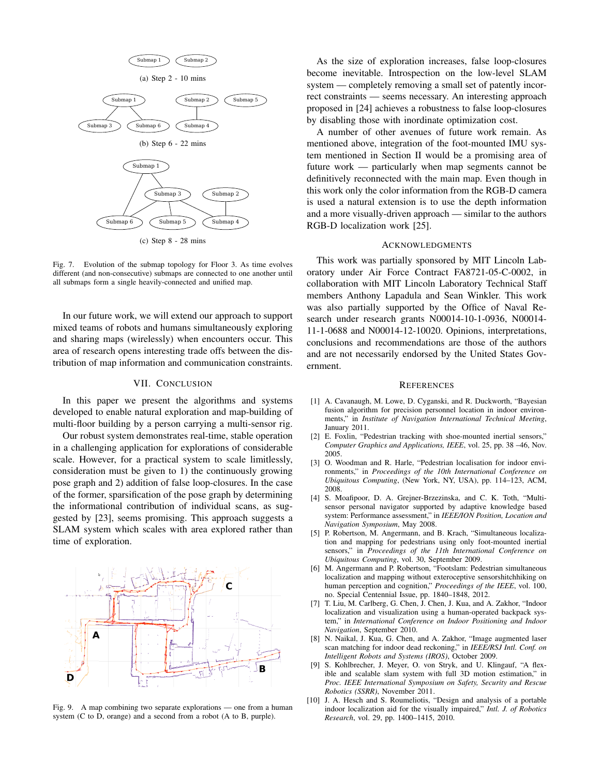

Fig. 7. Evolution of the submap topology for Floor 3. As time evolves different (and non-consecutive) submaps are connected to one another until all submaps form a single heavily-connected and unified map.

In our future work, we will extend our approach to support mixed teams of robots and humans simultaneously exploring and sharing maps (wirelessly) when encounters occur. This area of research opens interesting trade offs between the distribution of map information and communication constraints.

#### VII. CONCLUSION

In this paper we present the algorithms and systems developed to enable natural exploration and map-building of multi-floor building by a person carrying a multi-sensor rig.

Our robust system demonstrates real-time, stable operation in a challenging application for explorations of considerable scale. However, for a practical system to scale limitlessly, consideration must be given to 1) the continuously growing pose graph and 2) addition of false loop-closures. In the case of the former, sparsification of the pose graph by determining the informational contribution of individual scans, as suggested by [23], seems promising. This approach suggests a SLAM system which scales with area explored rather than time of exploration.



Fig. 9. A map combining two separate explorations — one from a human system (C to D, orange) and a second from a robot (A to B, purple).

As the size of exploration increases, false loop-closures become inevitable. Introspection on the low-level SLAM system — completely removing a small set of patently incorrect constraints — seems necessary. An interesting approach proposed in [24] achieves a robustness to false loop-closures by disabling those with inordinate optimization cost.

A number of other avenues of future work remain. As mentioned above, integration of the foot-mounted IMU system mentioned in Section II would be a promising area of future work — particularly when map segments cannot be definitively reconnected with the main map. Even though in this work only the color information from the RGB-D camera is used a natural extension is to use the depth information and a more visually-driven approach — similar to the authors RGB-D localization work [25].

#### ACKNOWLEDGMENTS

This work was partially sponsored by MIT Lincoln Laboratory under Air Force Contract FA8721-05-C-0002, in collaboration with MIT Lincoln Laboratory Technical Staff members Anthony Lapadula and Sean Winkler. This work was also partially supported by the Office of Naval Research under research grants N00014-10-1-0936, N00014- 11-1-0688 and N00014-12-10020. Opinions, interpretations, conclusions and recommendations are those of the authors and are not necessarily endorsed by the United States Government.

#### **REFERENCES**

- [1] A. Cavanaugh, M. Lowe, D. Cyganski, and R. Duckworth, "Bayesian fusion algorithm for precision personnel location in indoor environments," in *Institute of Navigation International Technical Meeting*, January 2011.
- [2] E. Foxlin, "Pedestrian tracking with shoe-mounted inertial sensors," *Computer Graphics and Applications, IEEE*, vol. 25, pp. 38 –46, Nov. 2005.
- [3] O. Woodman and R. Harle, "Pedestrian localisation for indoor environments," in *Proceedings of the 10th International Conference on Ubiquitous Computing*, (New York, NY, USA), pp. 114–123, ACM, 2008.
- [4] S. Moafipoor, D. A. Grejner-Brzezinska, and C. K. Toth, "Multisensor personal navigator supported by adaptive knowledge based system: Performance assessment," in *IEEE/ION Position, Location and Navigation Symposium*, May 2008.
- [5] P. Robertson, M. Angermann, and B. Krach, "Simultaneous localization and mapping for pedestrians using only foot-mounted inertial sensors," in *Proceedings of the 11th International Conference on Ubiquitous Computing*, vol. 30, September 2009.
- [6] M. Angermann and P. Robertson, "Footslam: Pedestrian simultaneous localization and mapping without exteroceptive sensorshitchhiking on human perception and cognition," *Proceedings of the IEEE*, vol. 100, no. Special Centennial Issue, pp. 1840–1848, 2012.
- [7] T. Liu, M. Carlberg, G. Chen, J. Chen, J. Kua, and A. Zakhor, "Indoor localization and visualization using a human-operated backpack system," in *International Conference on Indoor Positioning and Indoor Navigation*, September 2010.
- [8] N. Naikal, J. Kua, G. Chen, and A. Zakhor, "Image augmented laser scan matching for indoor dead reckoning," in *IEEE/RSJ Intl. Conf. on Intelligent Robots and Systems (IROS)*, October 2009.
- [9] S. Kohlbrecher, J. Meyer, O. von Stryk, and U. Klingauf, "A flexible and scalable slam system with full 3D motion estimation," in *Proc. IEEE International Symposium on Safety, Security and Rescue Robotics (SSRR)*, November 2011.
- [10] J. A. Hesch and S. Roumeliotis, "Design and analysis of a portable indoor localization aid for the visually impaired," *Intl. J. of Robotics Research*, vol. 29, pp. 1400–1415, 2010.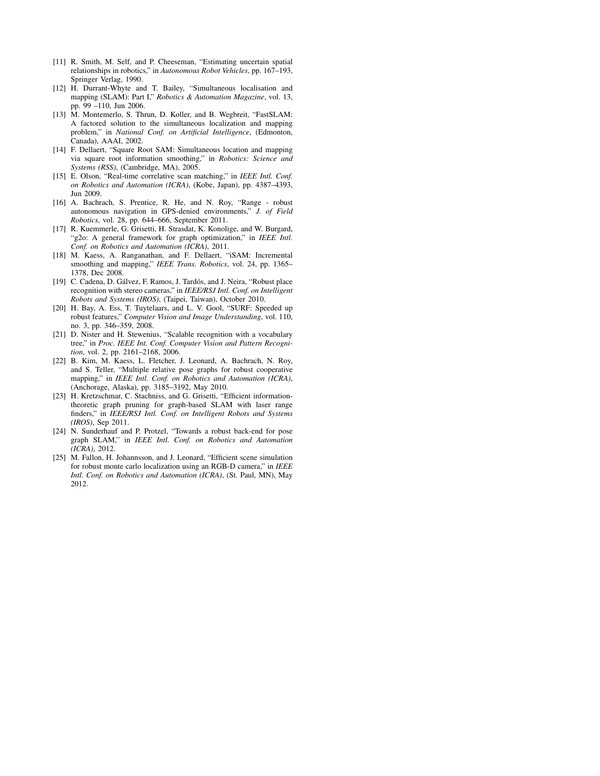- [11] R. Smith, M. Self, and P. Cheeseman, "Estimating uncertain spatial relationships in robotics," in *Autonomous Robot Vehicles*, pp. 167–193, Springer Verlag, 1990.
- [12] H. Durrant-Whyte and T. Bailey, "Simultaneous localisation and mapping (SLAM): Part I," *Robotics & Automation Magazine*, vol. 13, pp. 99 –110, Jun 2006.
- [13] M. Montemerlo, S. Thrun, D. Koller, and B. Wegbreit, "FastSLAM: A factored solution to the simultaneous localization and mapping problem," in *National Conf. on Artificial Intelligence*, (Edmonton, Canada), AAAI, 2002.
- [14] F. Dellaert, "Square Root SAM: Simultaneous location and mapping via square root information smoothing," in *Robotics: Science and Systems (RSS)*, (Cambridge, MA), 2005.
- [15] E. Olson, "Real-time correlative scan matching," in *IEEE Intl. Conf. on Robotics and Automation (ICRA)*, (Kobe, Japan), pp. 4387–4393, Jun 2009.
- [16] A. Bachrach, S. Prentice, R. He, and N. Roy, "Range robust autonomous navigation in GPS-denied environments," *J. of Field Robotics*, vol. 28, pp. 644–666, September 2011.
- [17] R. Kuemmerle, G. Grisetti, H. Strasdat, K. Konolige, and W. Burgard, "g2o: A general framework for graph optimization," in *IEEE Intl. Conf. on Robotics and Automation (ICRA)*, 2011.
- [18] M. Kaess, A. Ranganathan, and F. Dellaert, "iSAM: Incremental smoothing and mapping," *IEEE Trans. Robotics*, vol. 24, pp. 1365– 1378, Dec 2008.
- [19] C. Cadena, D. Gálvez, F. Ramos, J. Tardós, and J. Neira, "Robust place recognition with stereo cameras," in *IEEE/RSJ Intl. Conf. on Intelligent Robots and Systems (IROS)*, (Taipei, Taiwan), October 2010.
- [20] H. Bay, A. Ess, T. Tuytelaars, and L. V. Gool, "SURF: Speeded up robust features," *Computer Vision and Image Understanding*, vol. 110, no. 3, pp. 346–359, 2008.
- [21] D. Nister and H. Stewenius, "Scalable recognition with a vocabulary tree," in *Proc. IEEE Int. Conf. Computer Vision and Pattern Recognition*, vol. 2, pp. 2161–2168, 2006.
- [22] B. Kim, M. Kaess, L. Fletcher, J. Leonard, A. Bachrach, N. Roy, and S. Teller, "Multiple relative pose graphs for robust cooperative mapping," in *IEEE Intl. Conf. on Robotics and Automation (ICRA)*, (Anchorage, Alaska), pp. 3185–3192, May 2010.
- [23] H. Kretzschmar, C. Stachniss, and G. Grisetti, "Efficient informationtheoretic graph pruning for graph-based SLAM with laser range finders," in *IEEE/RSJ Intl. Conf. on Intelligent Robots and Systems (IROS)*, Sep 2011.
- [24] N. Sunderhauf and P. Protzel, "Towards a robust back-end for pose graph SLAM," in *IEEE Intl. Conf. on Robotics and Automation (ICRA)*, 2012.
- [25] M. Fallon, H. Johannsson, and J. Leonard, "Efficient scene simulation for robust monte carlo localization using an RGB-D camera," in *IEEE Intl. Conf. on Robotics and Automation (ICRA)*, (St. Paul, MN), May 2012.